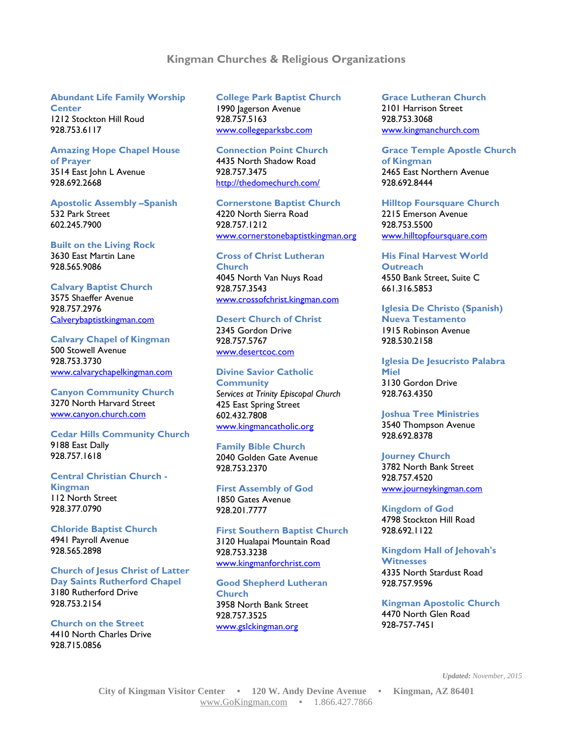## **Kingman Churches & Religious Organizations**

#### **Abundant Life Family Worship Center**

1212 Stockton Hill Roud 928.753.6117

### **Amazing Hope Chapel House of Prayer** 3514 East John L Avenue

928.692.2668

## **Apostolic Assembly –Spanish** 532 Park Street 602.245.7900

**Built on the Living Rock** 3630 East Martin Lane 928.565.9086

## **Calvary Baptist Church**

3575 Shaeffer Avenue 928.757.2976 Calverybaptistkingman.com

## **Calvary Chapel of Kingman** 500 Stowell Avenue 928.753.3730 [www.calvarychapelkingman.com](http://www.calvarychapelkingman.com/)

**Canyon Community Church**  3270 North Harvard Street [www.canyon.church.com](http://www.canyon-church.com/)

#### **Cedar Hills Community Church** 9188 East Dally 928.757.1618

**Central Christian Church - Kingman** 112 North Street 928.377.0790

**Chloride Baptist Church** 4941 Payroll Avenue 928.565.2898

## **Church of Jesus Christ of Latter Day Saints Rutherford Chapel** 3180 Rutherford Drive 928.753.2154

**Church on the Street** 4410 North Charles Drive 928.715.0856

## **College Park Baptist Church** 1990 Jagerson Avenue 928.757.5163 [www.collegeparksbc.com](http://www.collegeparksbc.com/)

**Connection Point Church** 4435 North Shadow Road 928.757.3475 <http://thedomechurch.com/>

**Cornerstone Baptist Church** 4220 North Sierra Road 928.757.1212 [www.cornerstonebaptistkingman.org](http://www.cornerstonebaptistkingman.org/)

#### **Cross of Christ Lutheran Church** 4045 North Van Nuys Road 928.757.3543 [www.crossofchrist.kingman.com](http://www.crossofchrist-kingman.com/)

#### **Desert Church of Christ**

2345 Gordon Drive 928.757.5767 [www.desertcoc.com](http://www.desertcoc.com/)

## **Divine Savior Catholic**

**Community** *Services at Trinity Episcopal Church* 425 East Spring Street 602.432.7808 [www.kingmancatholic.org](http://www.kingmancatholic.org/)

# **Family Bible Church**

2040 Golden Gate Avenue 928.753.2370

**First Assembly of God** 1850 Gates Avenue 928.201.7777

**First Southern Baptist Church** 3120 Hualapai Mountain Road 928.753.3238 [www.kingmanforchrist.com](http://www.kingmanforchrist.com/)

## **Good Shepherd Lutheran Church** 3958 North Bank Street 928.757.3525 [www.gslckingman.org](http://www.gslckingman.org/)

**Grace Lutheran Church** 2101 Harrison Street 928.753.3068 [www.kingmanchurch.com](http://www.kingmanchurch.com/)

**Grace Temple Apostle Church of Kingman** 2465 East Northern Avenue 928.692.8444

**Hilltop Foursquare Church** 2215 Emerson Avenue 928.753.5500 [www.hilltopfoursquare.com](http://www.hilltopfoursquare.com/)

**His Final Harvest World Outreach** 4550 Bank Street, Suite C 661.316.5853

#### **Iglesia De Christo (Spanish) Nueva Testamento** 1915 Robinson Avenue 928.530.2158

## **Iglesia De Jesucristo Palabra Miel** 3130 Gordon Drive 928.763.4350

**Joshua Tree Ministries** 3540 Thompson Avenue 928.692.8378

## **Journey Church** 3782 North Bank Street

928.757.4520 [www.journeykingman.com](http://www.journeykingman.com/)

**Kingdom of God** 4798 Stockton Hill Road 928.692.1122

#### **Kingdom Hall of Jehovah's Witnesses**  4335 North Stardust Road 928.757.9596

**Kingman Apostolic Church** 4470 North Glen Road 928-757-7451